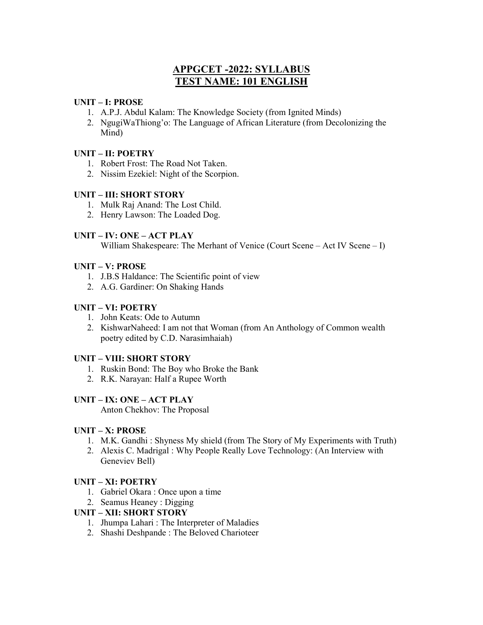# APPGCET -2022: SYLLABUS TEST NAME: 101 ENGLISH

## UNIT – I: PROSE

- 1. A.P.J. Abdul Kalam: The Knowledge Society (from Ignited Minds)
- 2. NgugiWaThiong'o: The Language of African Literature (from Decolonizing the Mind)

# UNIT – II: POETRY

- 1. Robert Frost: The Road Not Taken.
- 2. Nissim Ezekiel: Night of the Scorpion.

## UNIT – III: SHORT STORY

- 1. Mulk Raj Anand: The Lost Child.
- 2. Henry Lawson: The Loaded Dog.

## UNIT – IV: ONE – ACT PLAY

William Shakespeare: The Merhant of Venice (Court Scene – Act IV Scene – I)

## UNIT – V: PROSE

- 1. J.B.S Haldance: The Scientific point of view
- 2. A.G. Gardiner: On Shaking Hands

## UNIT – VI: POETRY

- 1. John Keats: Ode to Autumn
- 2. KishwarNaheed: I am not that Woman (from An Anthology of Common wealth poetry edited by C.D. Narasimhaiah)

#### UNIT – VIII: SHORT STORY

- 1. Ruskin Bond: The Boy who Broke the Bank
- 2. R.K. Narayan: Half a Rupee Worth

#### UNIT – IX: ONE – ACT PLAY

Anton Chekhov: The Proposal

#### UNIT – X: PROSE

- 1. M.K. Gandhi : Shyness My shield (from The Story of My Experiments with Truth)
- 2. Alexis C. Madrigal : Why People Really Love Technology: (An Interview with Geneviev Bell)

# UNIT – XI: POETRY

- 1. Gabriel Okara : Once upon a time
- 2. Seamus Heaney : Digging

## UNIT – XII: SHORT STORY

- 1. Jhumpa Lahari : The Interpreter of Maladies
- 2. Shashi Deshpande : The Beloved Charioteer